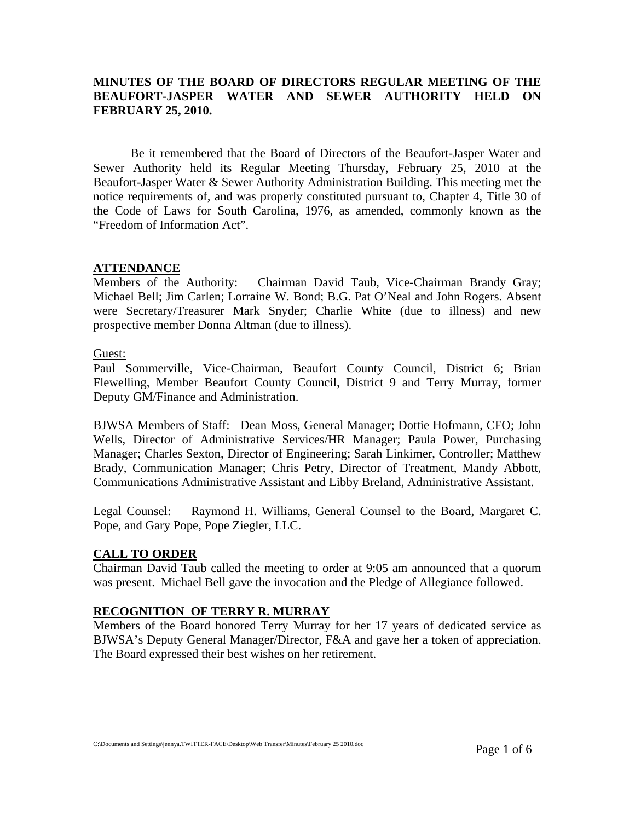## **MINUTES OF THE BOARD OF DIRECTORS REGULAR MEETING OF THE BEAUFORT-JASPER WATER AND SEWER AUTHORITY HELD ON FEBRUARY 25, 2010.**

Be it remembered that the Board of Directors of the Beaufort-Jasper Water and Sewer Authority held its Regular Meeting Thursday, February 25, 2010 at the Beaufort-Jasper Water & Sewer Authority Administration Building. This meeting met the notice requirements of, and was properly constituted pursuant to, Chapter 4, Title 30 of the Code of Laws for South Carolina, 1976, as amended, commonly known as the "Freedom of Information Act".

#### **ATTENDANCE**

Members of the Authority: Chairman David Taub, Vice-Chairman Brandy Gray; Michael Bell; Jim Carlen; Lorraine W. Bond; B.G. Pat O'Neal and John Rogers. Absent were Secretary/Treasurer Mark Snyder; Charlie White (due to illness) and new prospective member Donna Altman (due to illness).

Guest:

Paul Sommerville, Vice-Chairman, Beaufort County Council, District 6; Brian Flewelling, Member Beaufort County Council, District 9 and Terry Murray, former Deputy GM/Finance and Administration.

BJWSA Members of Staff: Dean Moss, General Manager; Dottie Hofmann, CFO; John Wells, Director of Administrative Services/HR Manager; Paula Power, Purchasing Manager; Charles Sexton, Director of Engineering; Sarah Linkimer, Controller; Matthew Brady, Communication Manager; Chris Petry, Director of Treatment, Mandy Abbott, Communications Administrative Assistant and Libby Breland, Administrative Assistant.

Legal Counsel: Raymond H. Williams, General Counsel to the Board, Margaret C. Pope, and Gary Pope, Pope Ziegler, LLC.

#### **CALL TO ORDER**

Chairman David Taub called the meeting to order at 9:05 am announced that a quorum was present. Michael Bell gave the invocation and the Pledge of Allegiance followed.

#### **RECOGNITION OF TERRY R. MURRAY**

Members of the Board honored Terry Murray for her 17 years of dedicated service as BJWSA's Deputy General Manager/Director, F&A and gave her a token of appreciation. The Board expressed their best wishes on her retirement.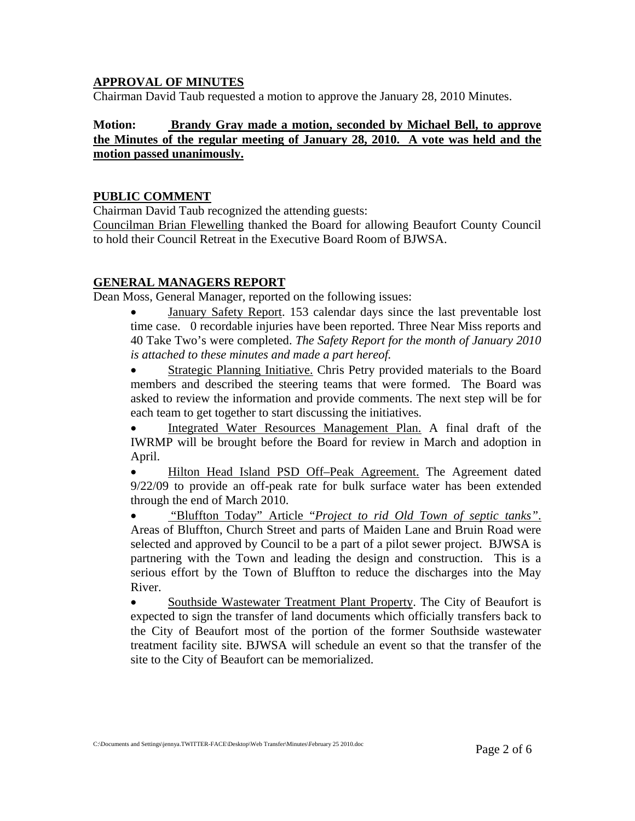### **APPROVAL OF MINUTES**

Chairman David Taub requested a motion to approve the January 28, 2010 Minutes.

## **Motion: Brandy Gray made a motion, seconded by Michael Bell, to approve the Minutes of the regular meeting of January 28, 2010. A vote was held and the motion passed unanimously.**

### **PUBLIC COMMENT**

Chairman David Taub recognized the attending guests:

Councilman Brian Flewelling thanked the Board for allowing Beaufort County Council to hold their Council Retreat in the Executive Board Room of BJWSA.

## **GENERAL MANAGERS REPORT**

Dean Moss, General Manager, reported on the following issues:

• January Safety Report. 153 calendar days since the last preventable lost time case. 0 recordable injuries have been reported. Three Near Miss reports and 40 Take Two's were completed. *The Safety Report for the month of January 2010 is attached to these minutes and made a part hereof.* 

Strategic Planning Initiative. Chris Petry provided materials to the Board members and described the steering teams that were formed. The Board was asked to review the information and provide comments. The next step will be for each team to get together to start discussing the initiatives.

• Integrated Water Resources Management Plan. A final draft of the IWRMP will be brought before the Board for review in March and adoption in April.

• Hilton Head Island PSD Off–Peak Agreement. The Agreement dated 9/22/09 to provide an off-peak rate for bulk surface water has been extended through the end of March 2010.

• "Bluffton Today" Article "*Project to rid Old Town of septic tanks"*. Areas of Bluffton, Church Street and parts of Maiden Lane and Bruin Road were selected and approved by Council to be a part of a pilot sewer project. BJWSA is partnering with the Town and leading the design and construction. This is a serious effort by the Town of Bluffton to reduce the discharges into the May River.

• Southside Wastewater Treatment Plant Property. The City of Beaufort is expected to sign the transfer of land documents which officially transfers back to the City of Beaufort most of the portion of the former Southside wastewater treatment facility site. BJWSA will schedule an event so that the transfer of the site to the City of Beaufort can be memorialized.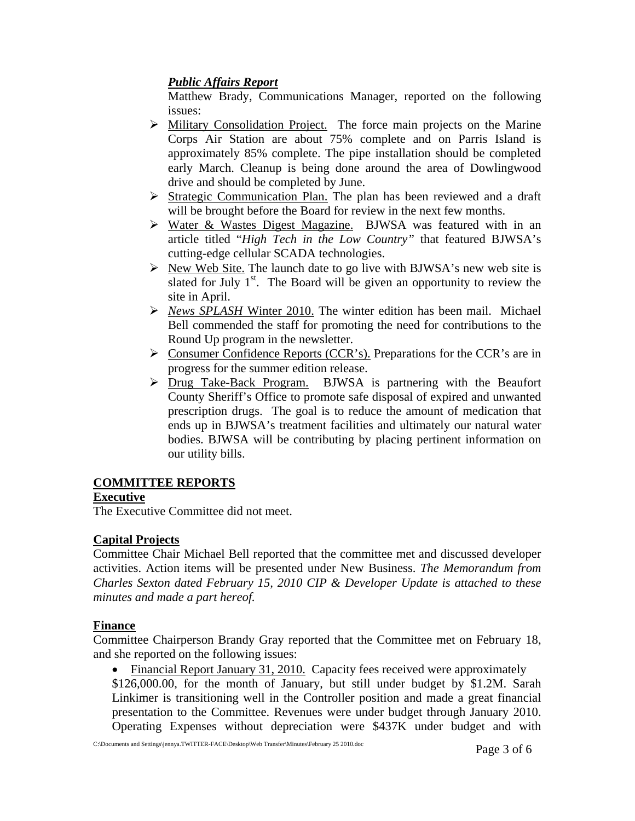## *Public Affairs Report*

Matthew Brady, Communications Manager, reported on the following issues:

- ¾ Military Consolidation Project. The force main projects on the Marine Corps Air Station are about 75% complete and on Parris Island is approximately 85% complete. The pipe installation should be completed early March. Cleanup is being done around the area of Dowlingwood drive and should be completed by June.
- ¾ Strategic Communication Plan. The plan has been reviewed and a draft will be brought before the Board for review in the next few months.
- ¾ Water & Wastes Digest Magazine. BJWSA was featured with in an article titled "*High Tech in the Low Country"* that featured BJWSA's cutting-edge cellular SCADA technologies.
- $\triangleright$  New Web Site. The launch date to go live with BJWSA's new web site is slated for July  $1<sup>st</sup>$ . The Board will be given an opportunity to review the site in April.
- ¾ *News SPLASH* Winter 2010. The winter edition has been mail. Michael Bell commended the staff for promoting the need for contributions to the Round Up program in the newsletter.
- $\triangleright$  Consumer Confidence Reports (CCR's). Preparations for the CCR's are in progress for the summer edition release.
- ¾ Drug Take-Back Program. BJWSA is partnering with the Beaufort County Sheriff's Office to promote safe disposal of expired and unwanted prescription drugs. The goal is to reduce the amount of medication that ends up in BJWSA's treatment facilities and ultimately our natural water bodies. BJWSA will be contributing by placing pertinent information on our utility bills.

# **COMMITTEE REPORTS**

# **Executive**

The Executive Committee did not meet.

# **Capital Projects**

Committee Chair Michael Bell reported that the committee met and discussed developer activities. Action items will be presented under New Business. *The Memorandum from Charles Sexton dated February 15, 2010 CIP & Developer Update is attached to these minutes and made a part hereof.*

## **Finance**

Committee Chairperson Brandy Gray reported that the Committee met on February 18, and she reported on the following issues:

• Financial Report January 31, 2010. Capacity fees received were approximately

\$126,000.00, for the month of January, but still under budget by \$1.2M. Sarah Linkimer is transitioning well in the Controller position and made a great financial presentation to the Committee. Revenues were under budget through January 2010. Operating Expenses without depreciation were \$437K under budget and with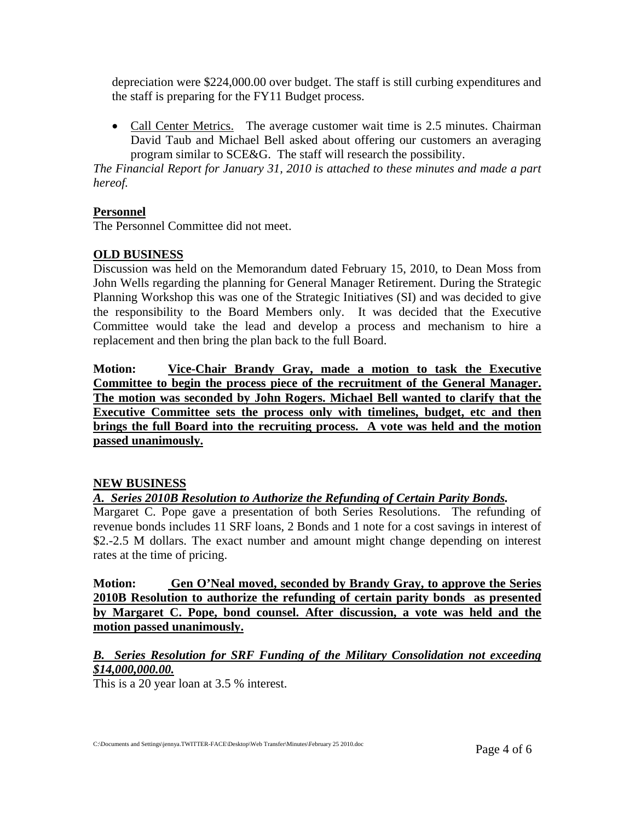depreciation were \$224,000.00 over budget. The staff is still curbing expenditures and the staff is preparing for the FY11 Budget process.

• Call Center Metrics. The average customer wait time is 2.5 minutes. Chairman David Taub and Michael Bell asked about offering our customers an averaging program similar to SCE&G. The staff will research the possibility.

*The Financial Report for January 31, 2010 is attached to these minutes and made a part hereof.* 

## **Personnel**

The Personnel Committee did not meet.

## **OLD BUSINESS**

Discussion was held on the Memorandum dated February 15, 2010, to Dean Moss from John Wells regarding the planning for General Manager Retirement. During the Strategic Planning Workshop this was one of the Strategic Initiatives (SI) and was decided to give the responsibility to the Board Members only. It was decided that the Executive Committee would take the lead and develop a process and mechanism to hire a replacement and then bring the plan back to the full Board.

**Motion: Vice-Chair Brandy Gray, made a motion to task the Executive Committee to begin the process piece of the recruitment of the General Manager. The motion was seconded by John Rogers. Michael Bell wanted to clarify that the Executive Committee sets the process only with timelines, budget, etc and then brings the full Board into the recruiting process. A vote was held and the motion passed unanimously.**

#### **NEW BUSINESS**

*A. Series 2010B Resolution to Authorize the Refunding of Certain Parity Bonds.* 

Margaret C. Pope gave a presentation of both Series Resolutions. The refunding of revenue bonds includes 11 SRF loans, 2 Bonds and 1 note for a cost savings in interest of \$2.-2.5 M dollars. The exact number and amount might change depending on interest rates at the time of pricing.

**Motion: Gen O'Neal moved, seconded by Brandy Gray, to approve the Series 2010B Resolution to authorize the refunding of certain parity bonds as presented by Margaret C. Pope, bond counsel. After discussion, a vote was held and the motion passed unanimously.**

## *B. Series Resolution for SRF Funding of the Military Consolidation not exceeding \$14,000,000.00.*

This is a 20 year loan at 3.5 % interest.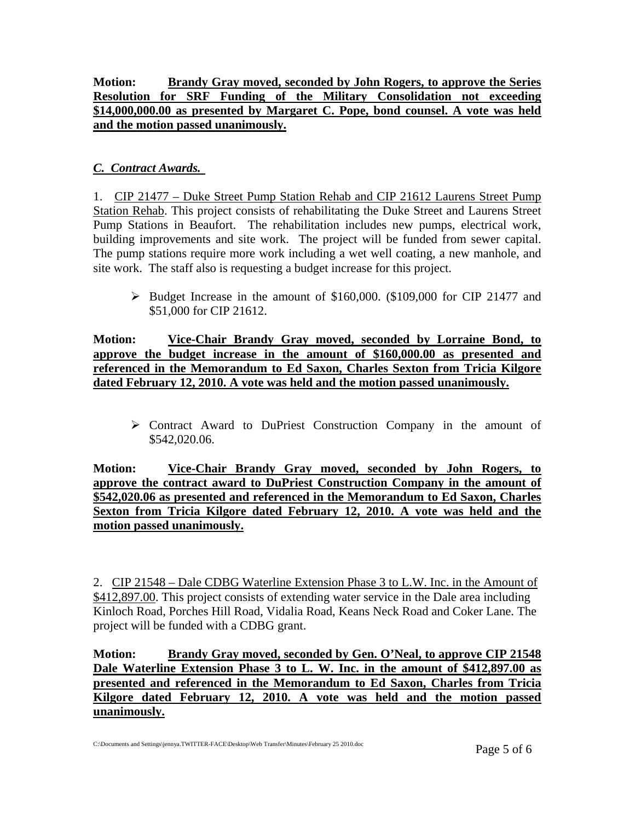## **Motion: Brandy Gray moved, seconded by John Rogers, to approve the Series Resolution for SRF Funding of the Military Consolidation not exceeding \$14,000,000.00 as presented by Margaret C. Pope, bond counsel. A vote was held and the motion passed unanimously.**

## *C. Contract Awards.*

1. CIP 21477 – Duke Street Pump Station Rehab and CIP 21612 Laurens Street Pump Station Rehab. This project consists of rehabilitating the Duke Street and Laurens Street Pump Stations in Beaufort. The rehabilitation includes new pumps, electrical work, building improvements and site work. The project will be funded from sewer capital. The pump stations require more work including a wet well coating, a new manhole, and site work. The staff also is requesting a budget increase for this project.

 $\triangleright$  Budget Increase in the amount of \$160,000. (\$109,000 for CIP 21477 and \$51,000 for CIP 21612.

**Motion: Vice-Chair Brandy Gray moved, seconded by Lorraine Bond, to approve the budget increase in the amount of \$160,000.00 as presented and referenced in the Memorandum to Ed Saxon, Charles Sexton from Tricia Kilgore dated February 12, 2010. A vote was held and the motion passed unanimously.**

¾ Contract Award to DuPriest Construction Company in the amount of \$542,020.06.

**Motion: Vice-Chair Brandy Gray moved, seconded by John Rogers, to approve the contract award to DuPriest Construction Company in the amount of \$542,020.06 as presented and referenced in the Memorandum to Ed Saxon, Charles Sexton from Tricia Kilgore dated February 12, 2010. A vote was held and the motion passed unanimously.**

2. CIP 21548 – Dale CDBG Waterline Extension Phase 3 to L.W. Inc. in the Amount of \$412,897.00. This project consists of extending water service in the Dale area including Kinloch Road, Porches Hill Road, Vidalia Road, Keans Neck Road and Coker Lane. The project will be funded with a CDBG grant.

**Motion: Brandy Gray moved, seconded by Gen. O'Neal, to approve CIP 21548 Dale Waterline Extension Phase 3 to L. W. Inc. in the amount of \$412,897.00 as presented and referenced in the Memorandum to Ed Saxon, Charles from Tricia Kilgore dated February 12, 2010. A vote was held and the motion passed unanimously.**